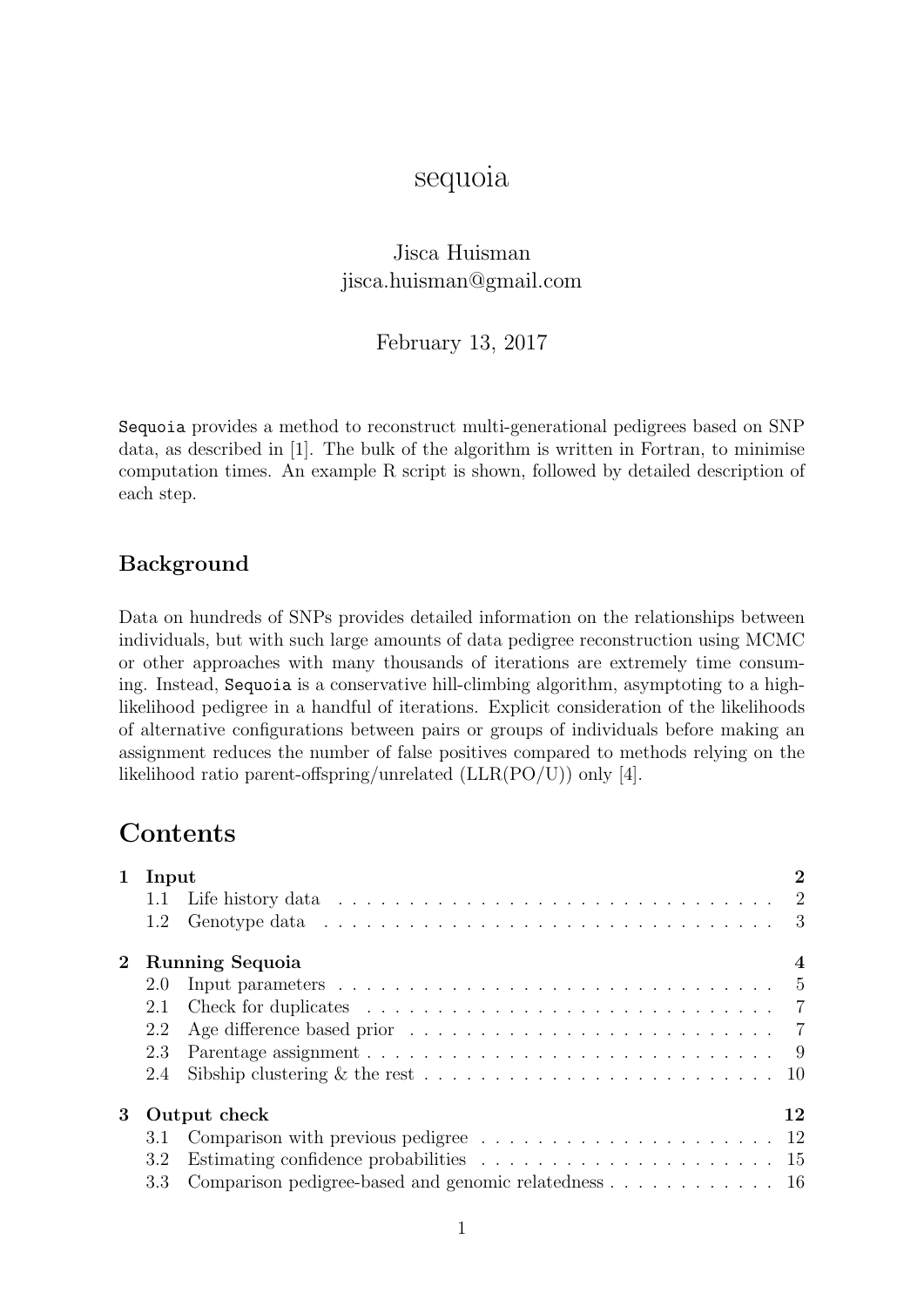# sequoia

# Jisca Huisman jisca.huisman@gmail.com

## February 13, 2017

Sequoia provides a method to reconstruct multi-generational pedigrees based on SNP data, as described in [\[1\]](#page-16-0). The bulk of the algorithm is written in Fortran, to minimise computation times. An example R script is shown, followed by detailed description of each step.

## Background

Data on hundreds of SNPs provides detailed information on the relationships between individuals, but with such large amounts of data pedigree reconstruction using MCMC or other approaches with many thousands of iterations are extremely time consuming. Instead, Sequoia is a conservative hill-climbing algorithm, asymptoting to a highlikelihood pedigree in a handful of iterations. Explicit consideration of the likelihoods of alternative configurations between pairs or groups of individuals before making an assignment reduces the number of false positives compared to methods relying on the likelihood ratio parent-offspring/unrelated (LLR(PO/U)) only [\[4\]](#page-16-1).

# **Contents**

|             |                             | 1 Input                                                                                          |    |  |  |  |
|-------------|-----------------------------|--------------------------------------------------------------------------------------------------|----|--|--|--|
|             |                             |                                                                                                  |    |  |  |  |
|             |                             | 1.2 Genotype data $\ldots \ldots \ldots \ldots \ldots \ldots \ldots \ldots \ldots \ldots \ldots$ |    |  |  |  |
| $2^{\circ}$ | <b>Running Sequoia</b><br>4 |                                                                                                  |    |  |  |  |
|             | 2.0                         | Input parameters $\ldots \ldots \ldots \ldots \ldots \ldots \ldots \ldots \ldots \ldots \ldots$  |    |  |  |  |
|             |                             |                                                                                                  |    |  |  |  |
|             | 2.2                         |                                                                                                  |    |  |  |  |
|             | 2.3                         |                                                                                                  |    |  |  |  |
|             | 2.4                         |                                                                                                  |    |  |  |  |
| 3           |                             | Output check                                                                                     | 12 |  |  |  |
|             |                             |                                                                                                  |    |  |  |  |
|             | 3.2                         |                                                                                                  |    |  |  |  |
|             |                             | 3.3 Comparison pedigree-based and genomic relatedness 16                                         |    |  |  |  |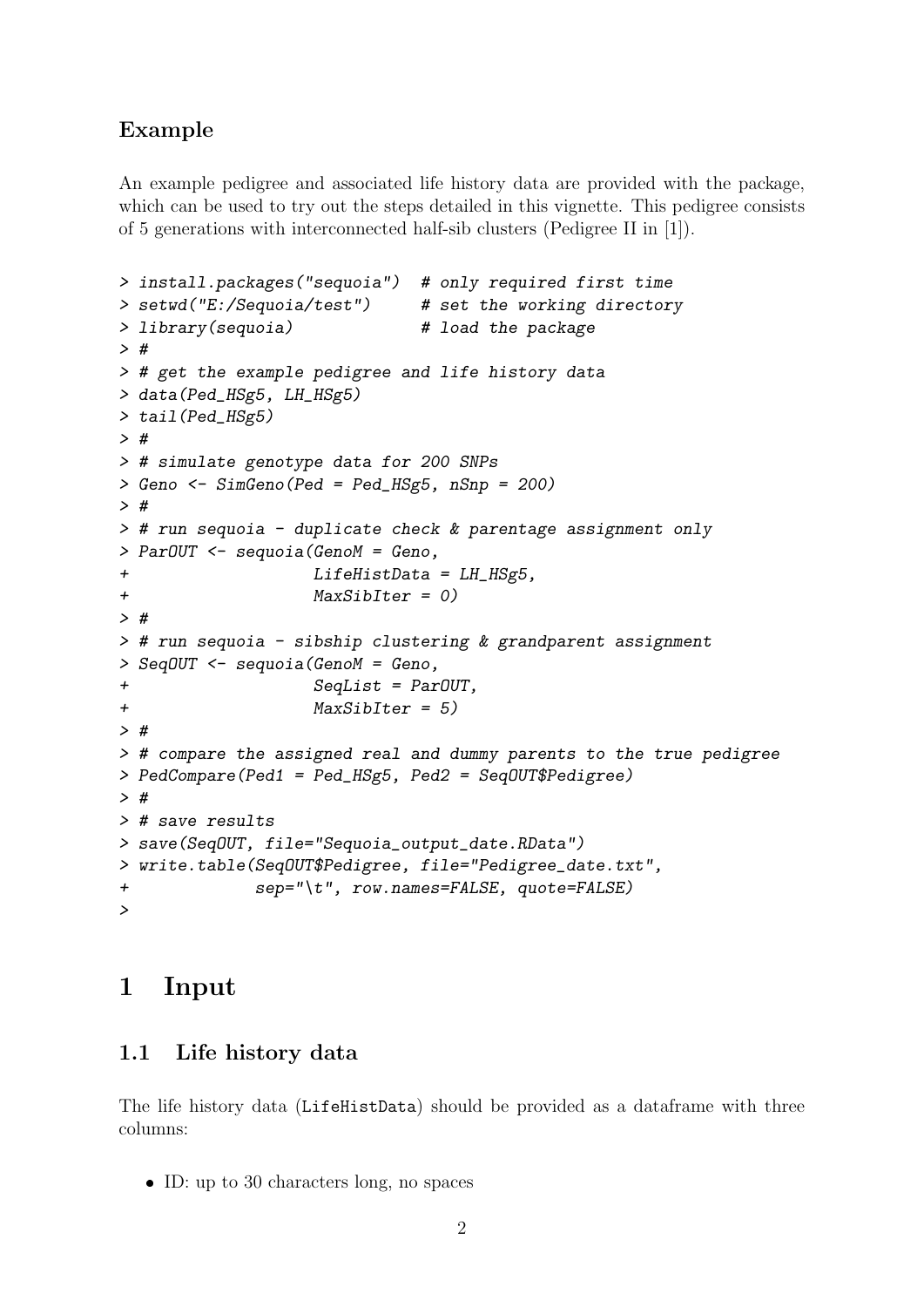## Example

An example pedigree and associated life history data are provided with the package, which can be used to try out the steps detailed in this vignette. This pedigree consists of 5 generations with interconnected half-sib clusters (Pedigree II in [\[1\]](#page-16-0)).

```
> install.packages("sequoia") # only required first time
> setwd("E:/Sequoia/test") # set the working directory
> library(sequoia) # load the package
> #
> # get the example pedigree and life history data
> data(Ped_HSg5, LH_HSg5)
> tail(Ped_HSg5)
> #
> # simulate genotype data for 200 SNPs
> Geno <- SimGeno(Ped = Ped_HSg5, nSnp = 200)
> #
> # run sequoia - duplicate check & parentage assignment only
> ParOUT <- sequoia(GenoM = Geno,
+ LifeHistData = LH_HSg5,
+ MaxSibIter = 0)
> #
> # run sequoia - sibship clustering & grandparent assignment
> SeqOUT <- sequoia(GenoM = Geno,
+ SeqList = ParOUT,
+ MaxSibIter = 5)
> #
> # compare the assigned real and dummy parents to the true pedigree
> PedCompare(Ped1 = Ped_HSg5, Ped2 = SeqOUT$Pedigree)
> #
> # save results
> save(SeqOUT, file="Sequoia_output_date.RData")
> write.table(SeqOUT$Pedigree, file="Pedigree_date.txt",
+ sep="\t", row.names=FALSE, quote=FALSE)
>
```
# <span id="page-1-0"></span>1 Input

## <span id="page-1-1"></span>1.1 Life history data

The life history data (LifeHistData) should be provided as a dataframe with three columns:

ID: up to 30 characters long, no spaces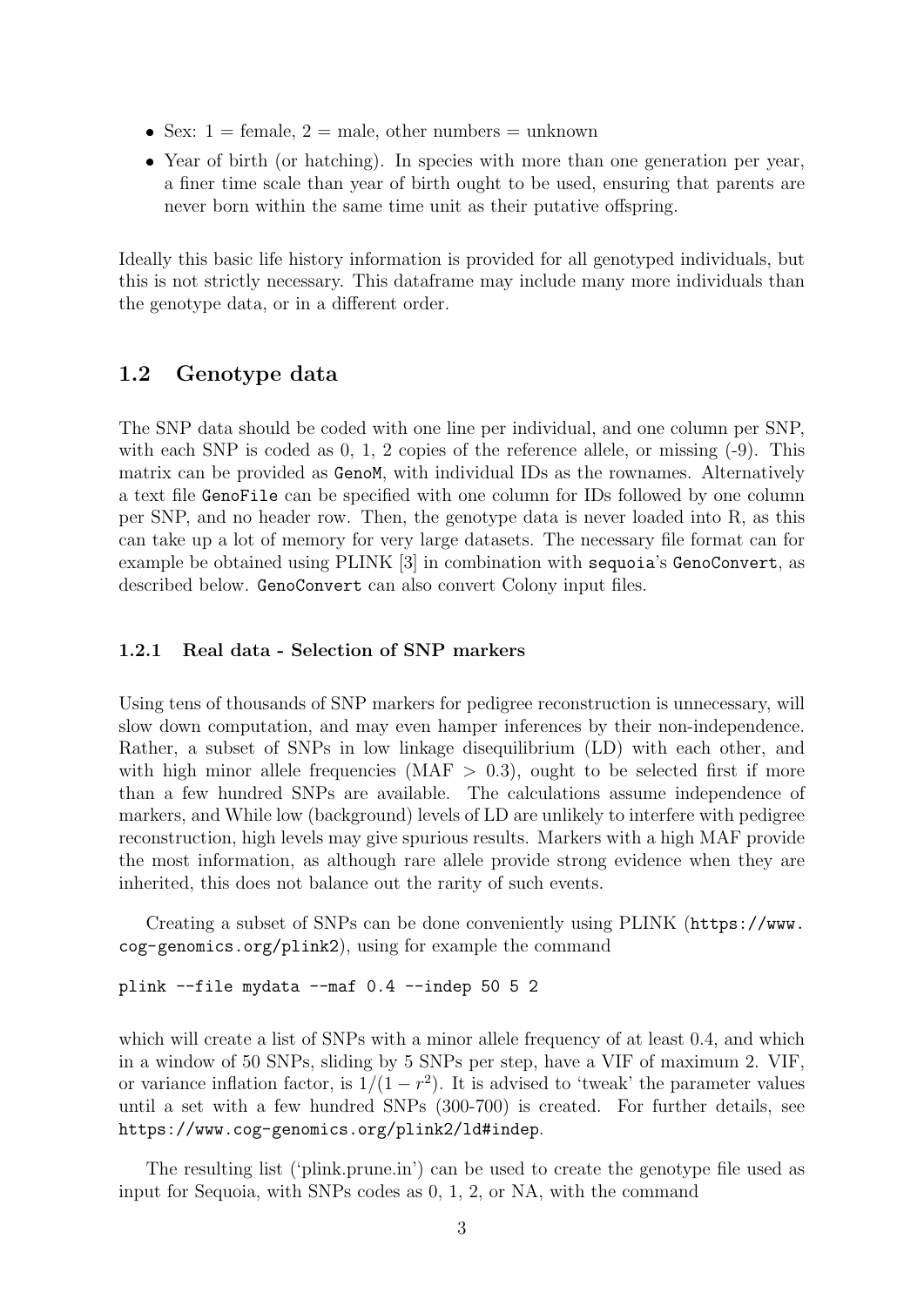- Sex:  $1 = \text{female}, 2 = \text{male}, \text{other numbers} = \text{unknown}$
- Year of birth (or hatching). In species with more than one generation per year, a finer time scale than year of birth ought to be used, ensuring that parents are never born within the same time unit as their putative offspring.

Ideally this basic life history information is provided for all genotyped individuals, but this is not strictly necessary. This dataframe may include many more individuals than the genotype data, or in a different order.

## <span id="page-2-0"></span>1.2 Genotype data

The SNP data should be coded with one line per individual, and one column per SNP, with each SNP is coded as 0, 1, 2 copies of the reference allele, or missing  $(-9)$ . This matrix can be provided as GenoM, with individual IDs as the rownames. Alternatively a text file GenoFile can be specified with one column for IDs followed by one column per SNP, and no header row. Then, the genotype data is never loaded into R, as this can take up a lot of memory for very large datasets. The necessary file format can for example be obtained using PLINK [\[3\]](#page-16-2) in combination with sequoia's GenoConvert, as described below. GenoConvert can also convert Colony input files.

#### 1.2.1 Real data - Selection of SNP markers

Using tens of thousands of SNP markers for pedigree reconstruction is unnecessary, will slow down computation, and may even hamper inferences by their non-independence. Rather, a subset of SNPs in low linkage disequilibrium (LD) with each other, and with high minor allele frequencies (MAF  $>$  0.3), ought to be selected first if more than a few hundred SNPs are available. The calculations assume independence of markers, and While low (background) levels of LD are unlikely to interfere with pedigree reconstruction, high levels may give spurious results. Markers with a high MAF provide the most information, as although rare allele provide strong evidence when they are inherited, this does not balance out the rarity of such events.

Creating a subset of SNPs can be done conveniently using PLINK ([https://www.](https://www.cog-genomics.org/plink2) [cog-genomics.org/plink2](https://www.cog-genomics.org/plink2)), using for example the command

plink --file mydata --maf 0.4 --indep 50 5 2

which will create a list of SNPs with a minor allele frequency of at least 0.4, and which in a window of 50 SNPs, sliding by 5 SNPs per step, have a VIF of maximum 2. VIF, or variance inflation factor, is  $1/(1 - r^2)$ . It is advised to 'tweak' the parameter values until a set with a few hundred SNPs (300-700) is created. For further details, see <https://www.cog-genomics.org/plink2/ld#indep>.

The resulting list ('plink.prune.in') can be used to create the genotype file used as input for Sequoia, with SNPs codes as 0, 1, 2, or NA, with the command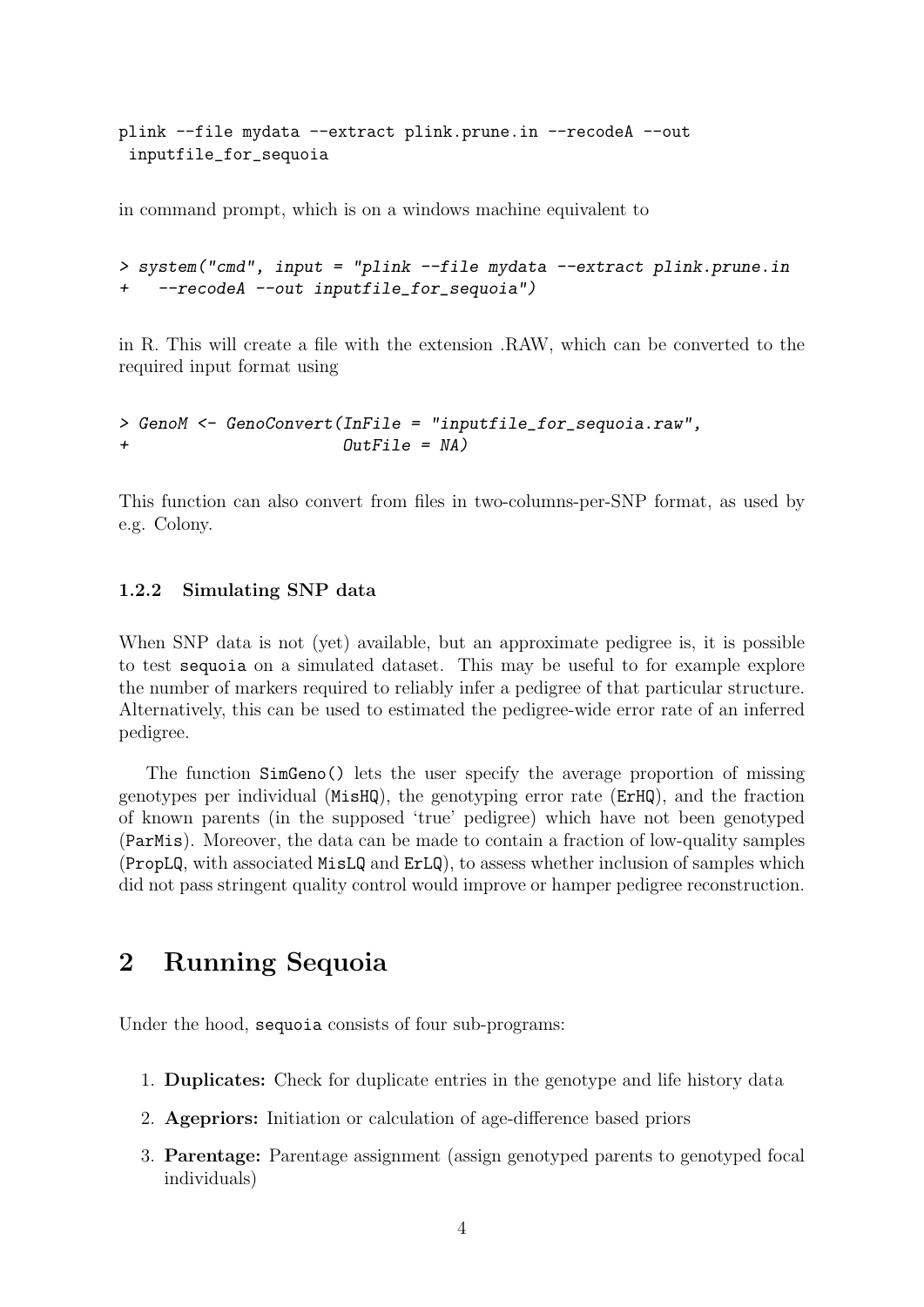plink --file mydata --extract plink.prune.in --recodeA --out inputfile\_for\_sequoia

in command prompt, which is on a windows machine equivalent to

```
> system("cmd", input = "plink --file mydata --extract plink.prune.in
+ --recodeA --out inputfile_for_sequoia")
```
in R. This will create a file with the extension .RAW, which can be converted to the required input format using

```
> GenoM <- GenoConvert(InFile = "inputfile_for_sequoia.raw",
+ OutFile = NA)
```
This function can also convert from files in two-columns-per-SNP format, as used by e.g. Colony.

### 1.2.2 Simulating SNP data

When SNP data is not (yet) available, but an approximate pedigree is, it is possible to test sequoia on a simulated dataset. This may be useful to for example explore the number of markers required to reliably infer a pedigree of that particular structure. Alternatively, this can be used to estimated the pedigree-wide error rate of an inferred pedigree.

The function SimGeno() lets the user specify the average proportion of missing genotypes per individual (MisHQ), the genotyping error rate (ErHQ), and the fraction of known parents (in the supposed 'true' pedigree) which have not been genotyped (ParMis). Moreover, the data can be made to contain a fraction of low-quality samples (PropLQ, with associated MisLQ and ErLQ), to assess whether inclusion of samples which did not pass stringent quality control would improve or hamper pedigree reconstruction.

# <span id="page-3-0"></span>2 Running Sequoia

Under the hood, sequoia consists of four sub-programs:

- 1. Duplicates: Check for duplicate entries in the genotype and life history data
- 2. Agepriors: Initiation or calculation of age-difference based priors
- 3. Parentage: Parentage assignment (assign genotyped parents to genotyped focal individuals)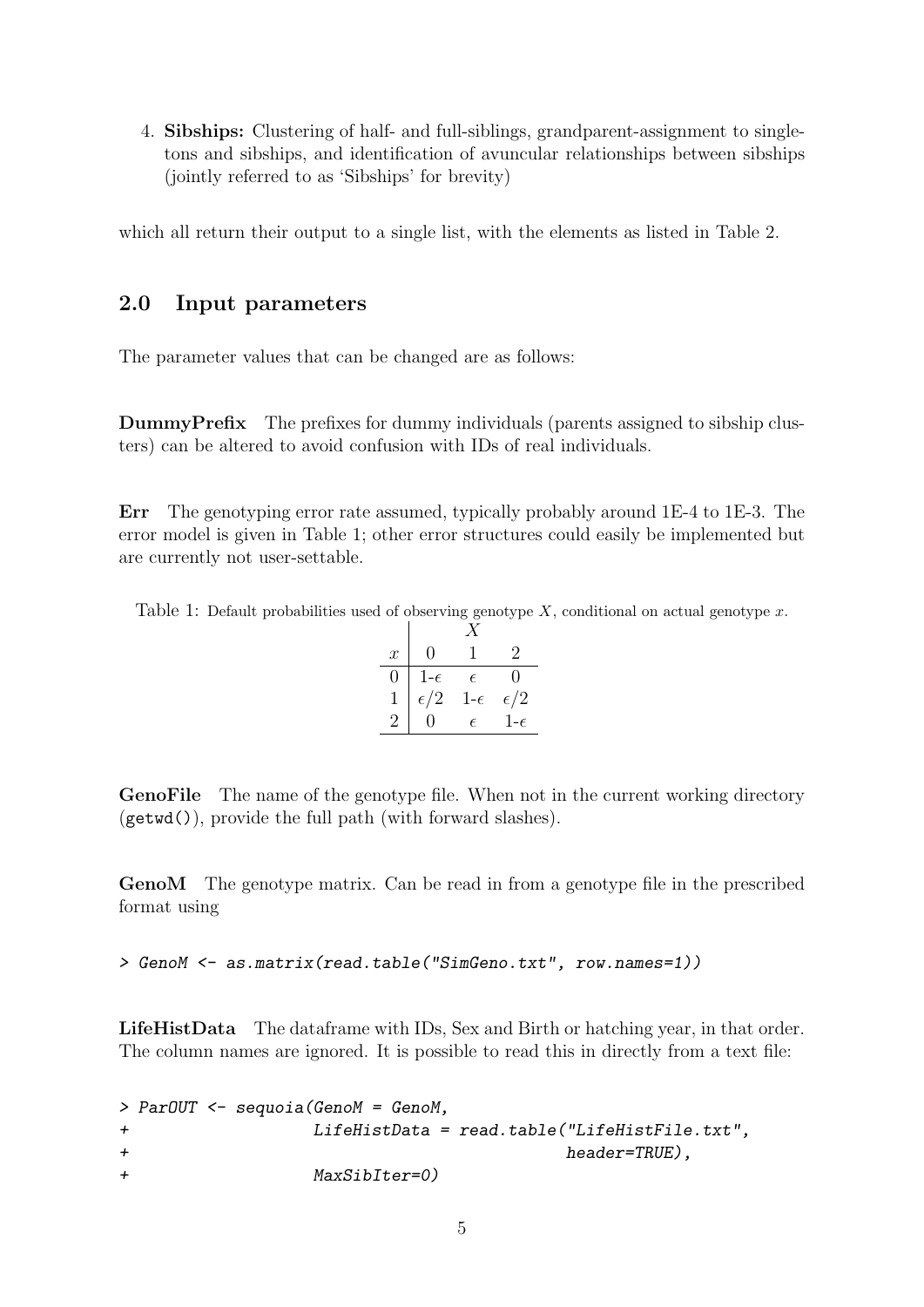4. Sibships: Clustering of half- and full-siblings, grandparent-assignment to singletons and sibships, and identification of avuncular relationships between sibships (jointly referred to as 'Sibships' for brevity)

which all return their output to a single list, with the elements as listed in Table [2.](#page-6-2)

## <span id="page-4-0"></span>2.0 Input parameters

The parameter values that can be changed are as follows:

DummyPrefix The prefixes for dummy individuals (parents assigned to sibship clusters) can be altered to avoid confusion with IDs of real individuals.

Err The genotyping error rate assumed, typically probably around 1E-4 to 1E-3. The error model is given in Table [1;](#page-4-1) other error structures could easily be implemented but are currently not user-settable.

<span id="page-4-1"></span>Table 1: Default probabilities used of observing genotype  $X$ , conditional on actual genotype  $x$ .

| $\boldsymbol{x}$ | 0            |              | 2            |  |
|------------------|--------------|--------------|--------------|--|
| 0                | $1-\epsilon$ | $\epsilon$   | 0            |  |
|                  | $\epsilon/2$ | $1-\epsilon$ | $\epsilon/2$ |  |
|                  |              | F            | $1-\epsilon$ |  |

GenoFile The name of the genotype file. When not in the current working directory (getwd()), provide the full path (with forward slashes).

GenoM The genotype matrix. Can be read in from a genotype file in the prescribed format using

> GenoM <- as.matrix(read.table("SimGeno.txt", row.names=1))

LifeHistData The dataframe with IDs, Sex and Birth or hatching year, in that order. The column names are ignored. It is possible to read this in directly from a text file:

```
> ParOUT <- sequoia(GenoM = GenoM,
+ LifeHistData = read.table("LifeHistFile.txt",
+ header=TRUE),
+ MaxSibIter=0)
```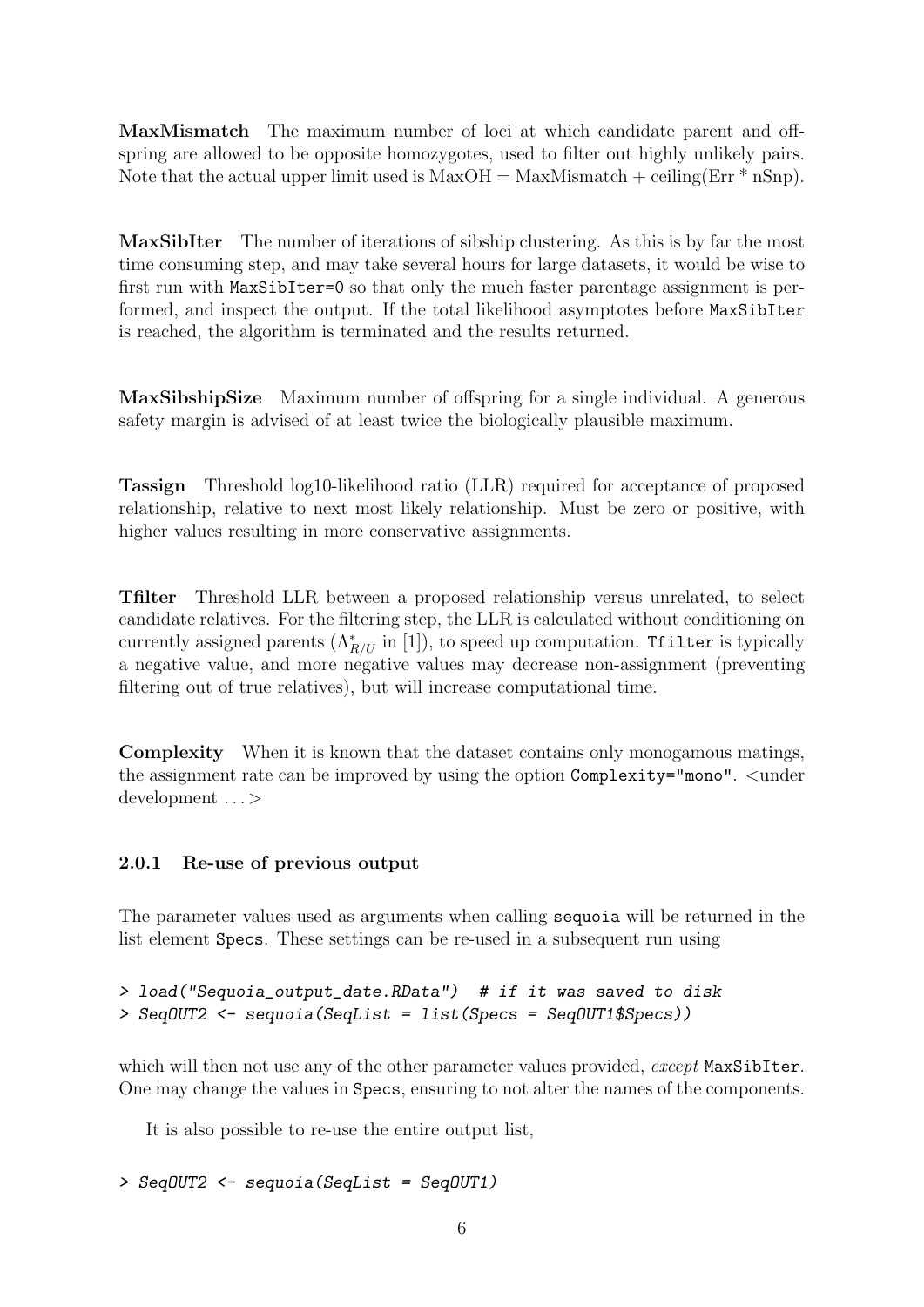MaxMismatch The maximum number of loci at which candidate parent and offspring are allowed to be opposite homozygotes, used to filter out highly unlikely pairs. Note that the actual upper limit used is  $MaxOH = MaxMismatch + ceiling(Err * nSnp)$ .

MaxSibIter The number of iterations of sibship clustering. As this is by far the most time consuming step, and may take several hours for large datasets, it would be wise to first run with MaxSibIter=0 so that only the much faster parentage assignment is performed, and inspect the output. If the total likelihood asymptotes before MaxSibIter is reached, the algorithm is terminated and the results returned.

MaxSibshipSize Maximum number of offspring for a single individual. A generous safety margin is advised of at least twice the biologically plausible maximum.

Tassign Threshold log10-likelihood ratio (LLR) required for acceptance of proposed relationship, relative to next most likely relationship. Must be zero or positive, with higher values resulting in more conservative assignments.

Tfilter Threshold LLR between a proposed relationship versus unrelated, to select candidate relatives. For the filtering step, the LLR is calculated without conditioning on currently assigned parents  $(\Lambda_{R/U}^*$  in [\[1\]](#page-16-0)), to speed up computation. Tfilter is typically a negative value, and more negative values may decrease non-assignment (preventing filtering out of true relatives), but will increase computational time.

Complexity When it is known that the dataset contains only monogamous matings, the assignment rate can be improved by using the option Complexity="mono". <under development . . . >

### 2.0.1 Re-use of previous output

The parameter values used as arguments when calling sequoia will be returned in the list element Specs. These settings can be re-used in a subsequent run using

```
> load("Sequoia_output_date.RData") # if it was saved to disk
> SeqOUT2 <- sequoia(SeqList = list(Specs = SeqOUT1$Specs))
```
which will then not use any of the other parameter values provided, except MaxSibIter. One may change the values in Specs, ensuring to not alter the names of the components.

It is also possible to re-use the entire output list,

```
> SeqOUT2 <- sequoia(SeqList = SeqOUT1)
```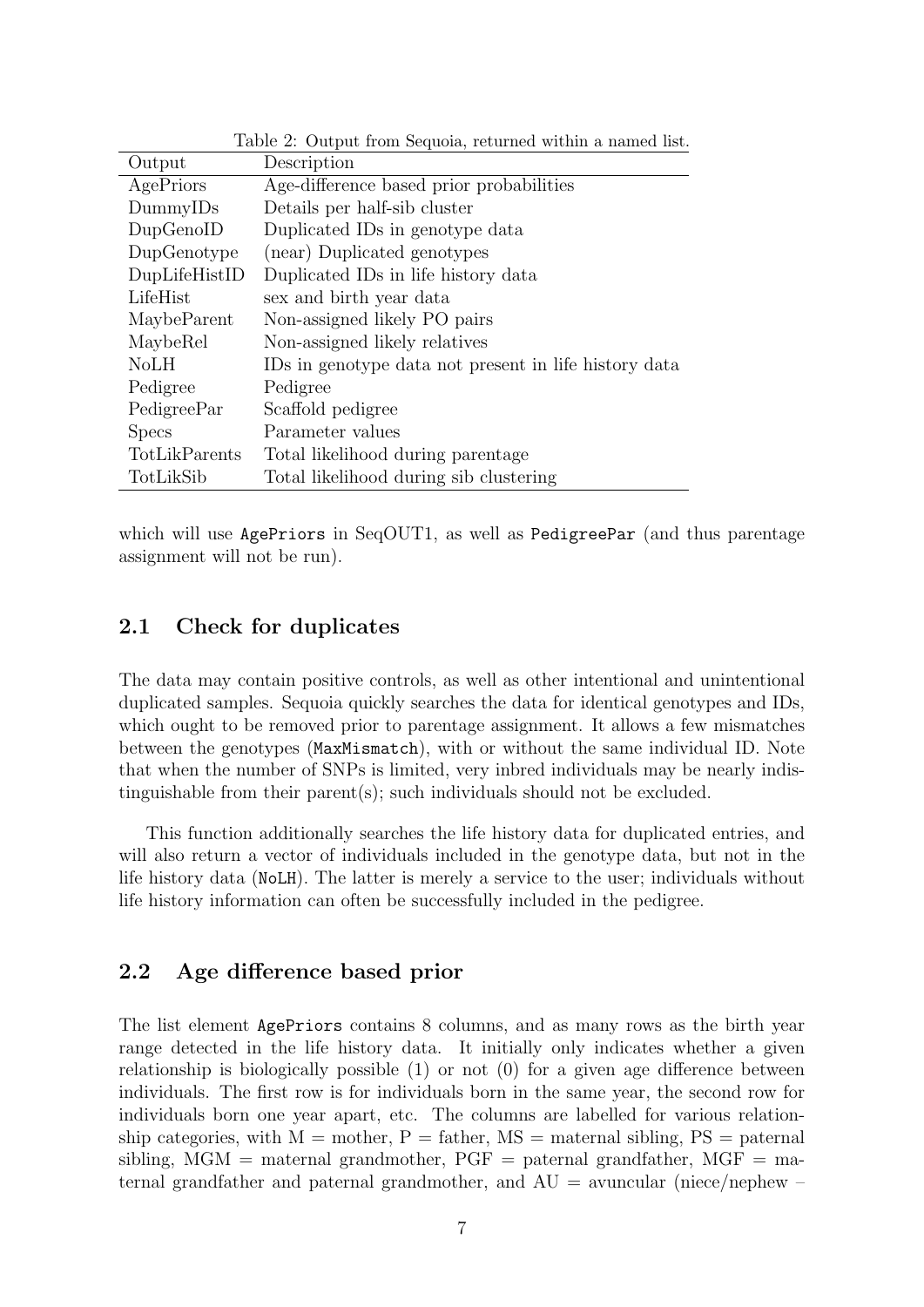| Output        | Description                                           |
|---------------|-------------------------------------------------------|
| AgePriors     | Age-difference based prior probabilities              |
| DummyIDs      | Details per half-sib cluster                          |
| DupGenoID     | Duplicated IDs in genotype data                       |
| DupGenotype   | (near) Duplicated genotypes                           |
| DupLifeHistID | Duplicated IDs in life history data                   |
| LifeHist      | sex and birth year data                               |
| MaybeParent   | Non-assigned likely PO pairs                          |
| MaybeRel      | Non-assigned likely relatives                         |
| NoLH          | IDs in genotype data not present in life history data |
| Pedigree      | Pedigree                                              |
| PedigreePar   | Scaffold pedigree                                     |
| <b>Specs</b>  | Parameter values                                      |
| TotLikParents | Total likelihood during parentage                     |
| TotLikSib     | Total likelihood during sib clustering                |

<span id="page-6-2"></span>Table 2: Output from Sequoia, returned within a named list.

which will use AgePriors in SeqOUT1, as well as PedigreePar (and thus parentage assignment will not be run).

## <span id="page-6-0"></span>2.1 Check for duplicates

The data may contain positive controls, as well as other intentional and unintentional duplicated samples. Sequoia quickly searches the data for identical genotypes and IDs, which ought to be removed prior to parentage assignment. It allows a few mismatches between the genotypes (MaxMismatch), with or without the same individual ID. Note that when the number of SNPs is limited, very inbred individuals may be nearly indistinguishable from their parent(s); such individuals should not be excluded.

This function additionally searches the life history data for duplicated entries, and will also return a vector of individuals included in the genotype data, but not in the life history data (NoLH). The latter is merely a service to the user; individuals without life history information can often be successfully included in the pedigree.

### <span id="page-6-1"></span>2.2 Age difference based prior

The list element AgePriors contains 8 columns, and as many rows as the birth year range detected in the life history data. It initially only indicates whether a given relationship is biologically possible  $(1)$  or not  $(0)$  for a given age difference between individuals. The first row is for individuals born in the same year, the second row for individuals born one year apart, etc. The columns are labelled for various relationship categories, with  $M =$  mother,  $P =$  father,  $MS =$  maternal sibling,  $PS =$  paternal sibling,  $MGM$  = maternal grandmother,  $PGF$  = paternal grandfather,  $MGF$  = maternal grandfather and paternal grandmother, and  $AU =$  avuncular (niece/nephew –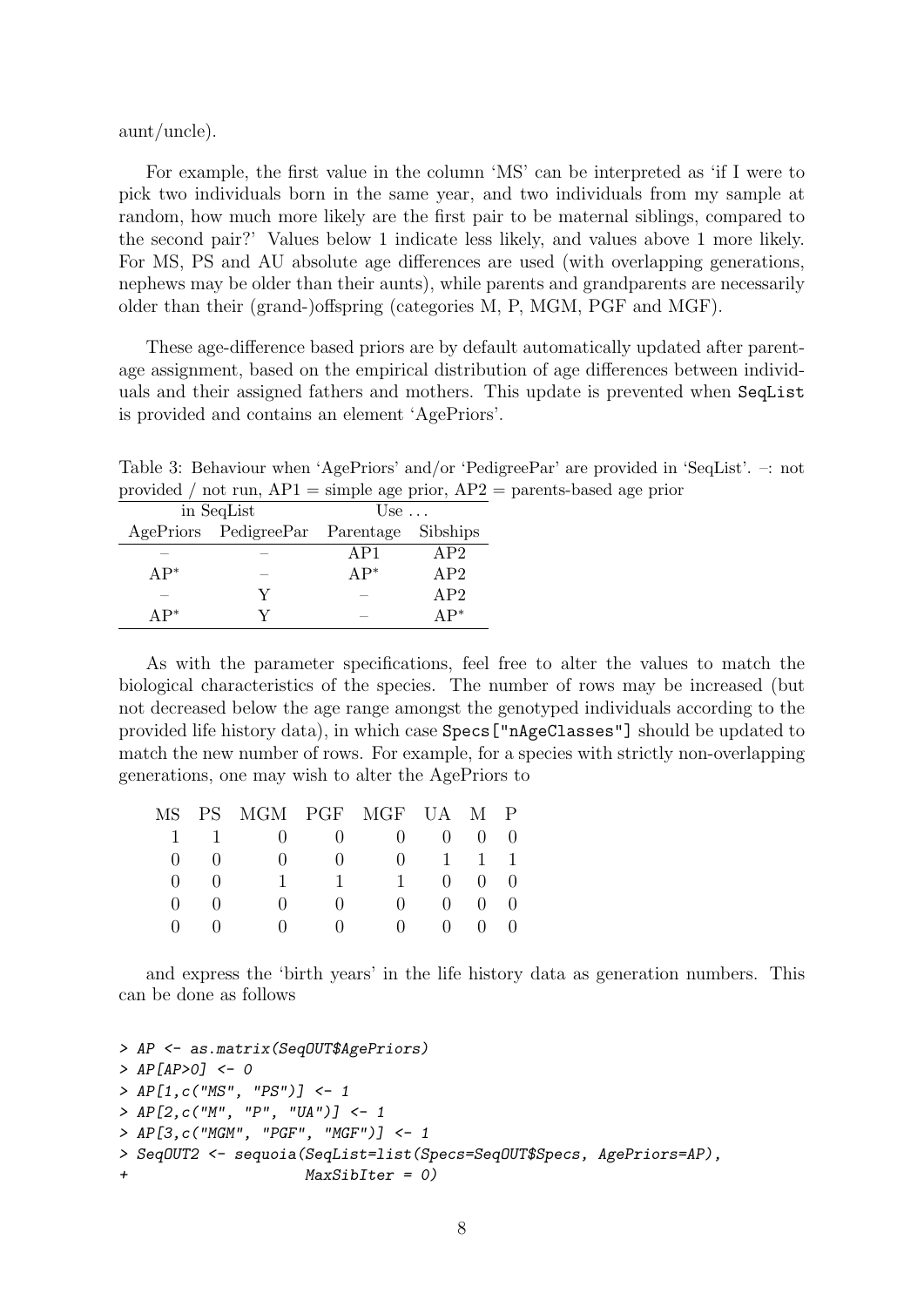aunt/uncle).

For example, the first value in the column 'MS' can be interpreted as 'if I were to pick two individuals born in the same year, and two individuals from my sample at random, how much more likely are the first pair to be maternal siblings, compared to the second pair?' Values below 1 indicate less likely, and values above 1 more likely. For MS, PS and AU absolute age differences are used (with overlapping generations, nephews may be older than their aunts), while parents and grandparents are necessarily older than their (grand-)offspring (categories M, P, MGM, PGF and MGF).

These age-difference based priors are by default automatically updated after parentage assignment, based on the empirical distribution of age differences between individuals and their assigned fathers and mothers. This update is prevented when SeqList is provided and contains an element 'AgePriors'.

Table 3: Behaviour when 'AgePriors' and/or 'PedigreePar' are provided in 'SeqList'. –: not provided / not run,  $AP1 =$  simple age prior,  $AP2 =$  parents-based age prior

|        | in SeqList                      | Use $\ldots$ |          |  |
|--------|---------------------------------|--------------|----------|--|
|        | AgePriors PedigreePar Parentage |              | Sibships |  |
|        |                                 | AP1          | AP2      |  |
| $AP^*$ |                                 | $AP^*$       | AP2      |  |
|        | V                               |              | AP2      |  |
| $AP^*$ |                                 |              |          |  |

As with the parameter specifications, feel free to alter the values to match the biological characteristics of the species. The number of rows may be increased (but not decreased below the age range amongst the genotyped individuals according to the provided life history data), in which case Specs["nAgeClasses"] should be updated to match the new number of rows. For example, for a species with strictly non-overlapping generations, one may wish to alter the AgePriors to

|             | MS PS MGM PGF MGF UA M P                            |                               |                               |                             |  |
|-------------|-----------------------------------------------------|-------------------------------|-------------------------------|-----------------------------|--|
|             | $1 \quad 1 \quad 0 \quad 0 \quad 0 \quad 0 \quad 0$ |                               |                               |                             |  |
|             | $\begin{pmatrix} 0 & 0 \end{pmatrix}$               | $\mathbf{0}$                  | $0 \t 0 \t 1 \t 1$            |                             |  |
| $(1)$ $(1)$ |                                                     | $1 \quad 1 \quad$             |                               | 1 0 0 0                     |  |
| $0 \quad 0$ | $\mathbf{0}$                                        | (                             |                               | $0 \quad 0 \quad 0 \quad 0$ |  |
|             |                                                     | $\mathbf{0}$ and $\mathbf{0}$ | $\mathbf{0}$ and $\mathbf{0}$ | $0 \quad 0 \quad 0 \quad 0$ |  |

and express the 'birth years' in the life history data as generation numbers. This can be done as follows

```
> AP <- as.matrix(SeqOUT$AgePriors)
> AP[AP>0] <- 0
> AP[1,c("MS", "PS")] <- 1
> AP[2, c("M", "P", "UA")] <- 1
> AP[3,c("MGM", "PGF", "MGF")] <- 1
> SeqOUT2 <- sequoia(SeqList=list(Specs=SeqOUT$Specs, AgePriors=AP),
                     MaxSibIter = 0)
```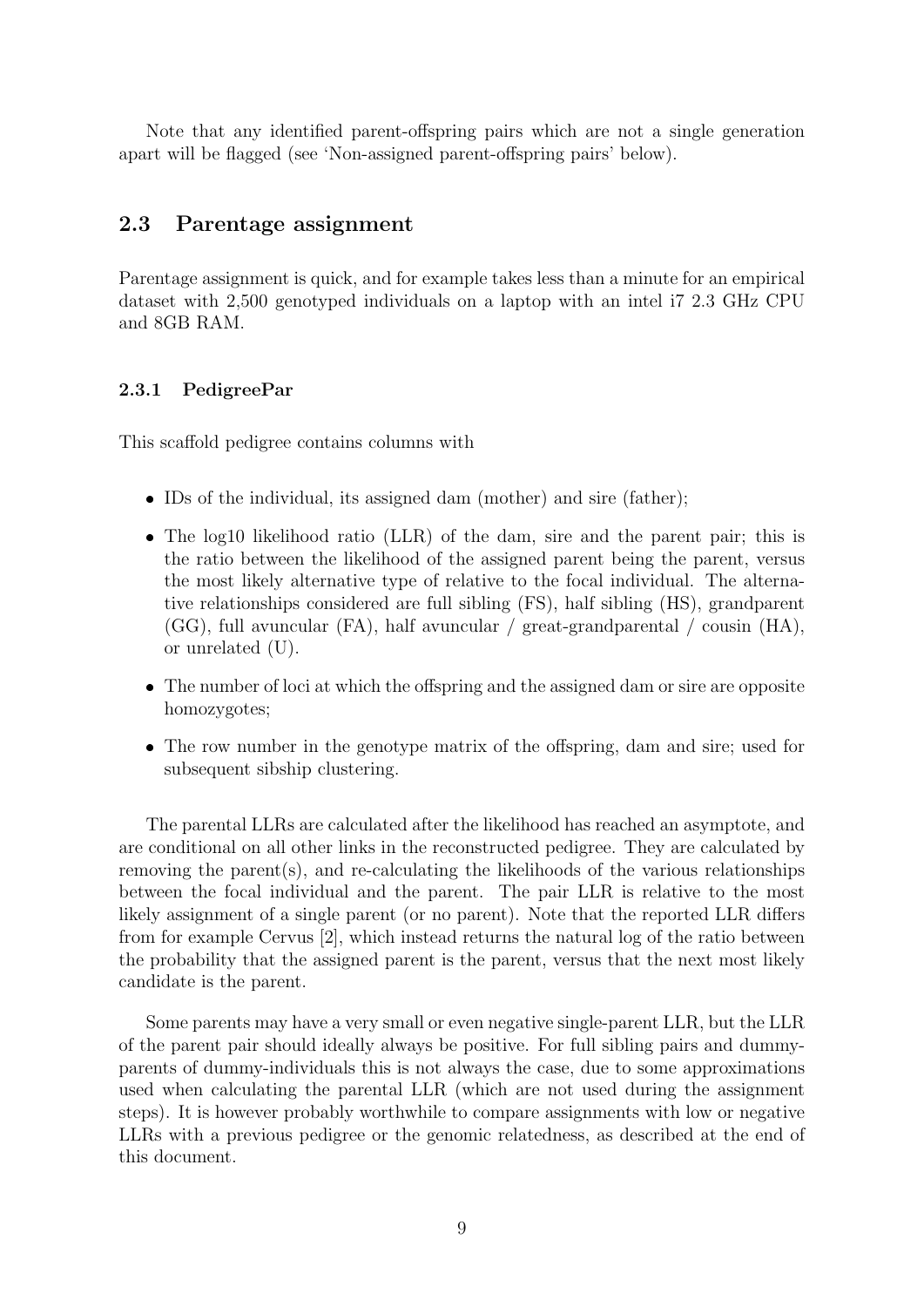Note that any identified parent-offspring pairs which are not a single generation apart will be flagged (see 'Non-assigned parent-offspring pairs' below).

### <span id="page-8-0"></span>2.3 Parentage assignment

Parentage assignment is quick, and for example takes less than a minute for an empirical dataset with 2,500 genotyped individuals on a laptop with an intel i7 2.3 GHz CPU and 8GB RAM.

#### 2.3.1 PedigreePar

This scaffold pedigree contains columns with

- IDs of the individual, its assigned dam (mother) and sire (father);
- The log10 likelihood ratio (LLR) of the dam, sire and the parent pair; this is the ratio between the likelihood of the assigned parent being the parent, versus the most likely alternative type of relative to the focal individual. The alternative relationships considered are full sibling (FS), half sibling (HS), grandparent (GG), full avuncular (FA), half avuncular / great-grandparental / cousin (HA), or unrelated (U).
- The number of loci at which the offspring and the assigned dam or sire are opposite homozygotes;
- The row number in the genotype matrix of the offspring, dam and sire; used for subsequent sibship clustering.

The parental LLRs are calculated after the likelihood has reached an asymptote, and are conditional on all other links in the reconstructed pedigree. They are calculated by removing the parent(s), and re-calculating the likelihoods of the various relationships between the focal individual and the parent. The pair LLR is relative to the most likely assignment of a single parent (or no parent). Note that the reported LLR differs from for example Cervus [\[2\]](#page-16-3), which instead returns the natural log of the ratio between the probability that the assigned parent is the parent, versus that the next most likely candidate is the parent.

Some parents may have a very small or even negative single-parent LLR, but the LLR of the parent pair should ideally always be positive. For full sibling pairs and dummyparents of dummy-individuals this is not always the case, due to some approximations used when calculating the parental LLR (which are not used during the assignment steps). It is however probably worthwhile to compare assignments with low or negative LLRs with a previous pedigree or the genomic relatedness, as described at the end of this document.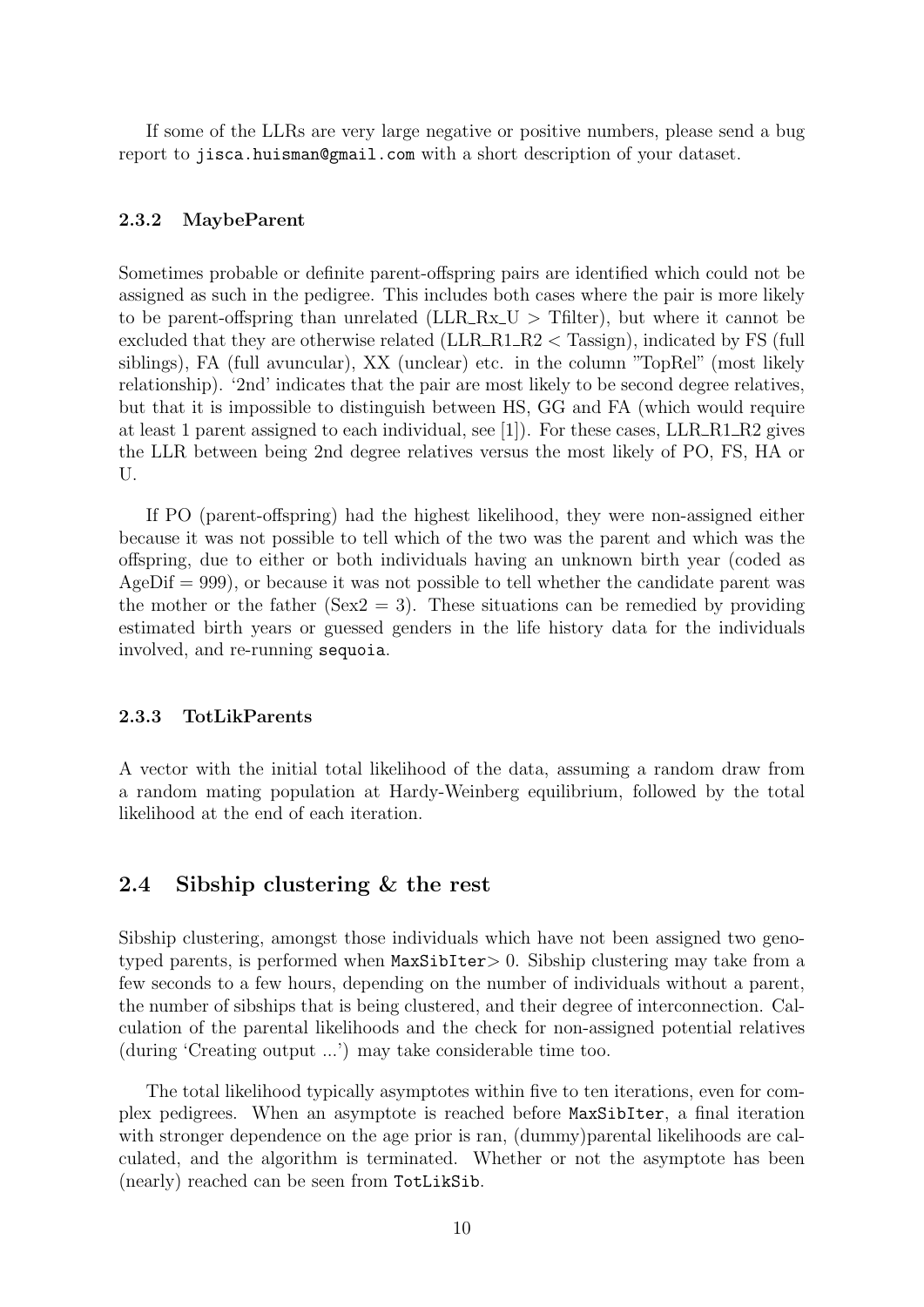If some of the LLRs are very large negative or positive numbers, please send a bug report to <jisca.huisman@gmail.com> with a short description of your dataset.

### 2.3.2 MaybeParent

Sometimes probable or definite parent-offspring pairs are identified which could not be assigned as such in the pedigree. This includes both cases where the pair is more likely to be parent-offspring than unrelated ( $LLR_Rx\_U$ ) Tfilter, but where it cannot be excluded that they are otherwise related (LLR\_R1\_R2 < Tassign), indicated by FS (full siblings), FA (full avuncular), XX (unclear) etc. in the column "TopRel" (most likely relationship). '2nd' indicates that the pair are most likely to be second degree relatives, but that it is impossible to distinguish between HS, GG and FA (which would require at least 1 parent assigned to each individual, see  $[1]$ ). For these cases, LLR\_R1\_R2 gives the LLR between being 2nd degree relatives versus the most likely of PO, FS, HA or U.

If PO (parent-offspring) had the highest likelihood, they were non-assigned either because it was not possible to tell which of the two was the parent and which was the offspring, due to either or both individuals having an unknown birth year (coded as  $AgeDiff = 999$ , or because it was not possible to tell whether the candidate parent was the mother or the father (Sex2 = 3). These situations can be remedied by providing estimated birth years or guessed genders in the life history data for the individuals involved, and re-running sequoia.

#### 2.3.3 TotLikParents

A vector with the initial total likelihood of the data, assuming a random draw from a random mating population at Hardy-Weinberg equilibrium, followed by the total likelihood at the end of each iteration.

## <span id="page-9-0"></span>2.4 Sibship clustering & the rest

Sibship clustering, amongst those individuals which have not been assigned two genotyped parents, is performed when MaxSibIter> 0. Sibship clustering may take from a few seconds to a few hours, depending on the number of individuals without a parent, the number of sibships that is being clustered, and their degree of interconnection. Calculation of the parental likelihoods and the check for non-assigned potential relatives (during 'Creating output ...') may take considerable time too.

The total likelihood typically asymptotes within five to ten iterations, even for complex pedigrees. When an asymptote is reached before MaxSibIter, a final iteration with stronger dependence on the age prior is ran, (dummy)parental likelihoods are calculated, and the algorithm is terminated. Whether or not the asymptote has been (nearly) reached can be seen from TotLikSib.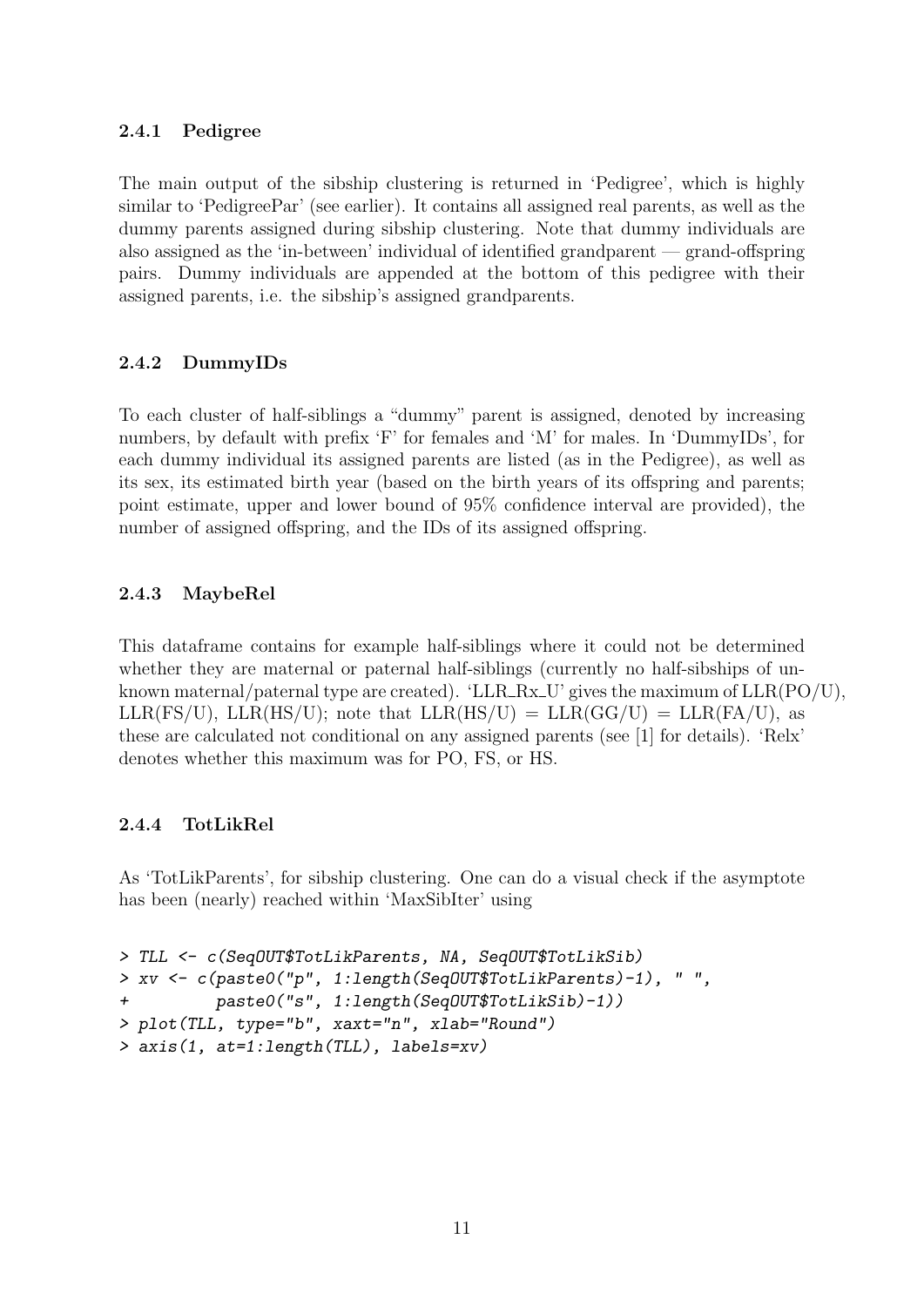## 2.4.1 Pedigree

The main output of the sibship clustering is returned in 'Pedigree', which is highly similar to 'PedigreePar' (see earlier). It contains all assigned real parents, as well as the dummy parents assigned during sibship clustering. Note that dummy individuals are also assigned as the 'in-between' individual of identified grandparent — grand-offspring pairs. Dummy individuals are appended at the bottom of this pedigree with their assigned parents, i.e. the sibship's assigned grandparents.

## 2.4.2 DummyIDs

To each cluster of half-siblings a "dummy" parent is assigned, denoted by increasing numbers, by default with prefix 'F' for females and 'M' for males. In 'DummyIDs', for each dummy individual its assigned parents are listed (as in the Pedigree), as well as its sex, its estimated birth year (based on the birth years of its offspring and parents; point estimate, upper and lower bound of 95% confidence interval are provided), the number of assigned offspring, and the IDs of its assigned offspring.

## 2.4.3 MaybeRel

This dataframe contains for example half-siblings where it could not be determined whether they are maternal or paternal half-siblings (currently no half-sibships of unknown maternal/paternal type are created). 'LLR\_Rx\_U' gives the maximum of  $LLR(PO/U)$ ,  $LLR(FS/U)$ ,  $LLR(HS/U)$ ; note that  $LLR(HS/U) = LLR(GG/U) = LLR(FA/U)$ , as these are calculated not conditional on any assigned parents (see [\[1\]](#page-16-0) for details). 'Relx' denotes whether this maximum was for PO, FS, or HS.

## 2.4.4 TotLikRel

As 'TotLikParents', for sibship clustering. One can do a visual check if the asymptote has been (nearly) reached within 'MaxSibIter' using

```
> TLL <- c(SeqOUT$TotLikParents, NA, SeqOUT$TotLikSib)
> xv <- c(paste0("p", 1:length(SeqOUT$TotLikParents)-1), " ",
         paste0("s", 1:length(SeqOUT$TotLikSib)-1))
> plot(TLL, type="b", xaxt="n", xlab="Round")
> axis(1, at=1:length(TLL), labels=xv)
```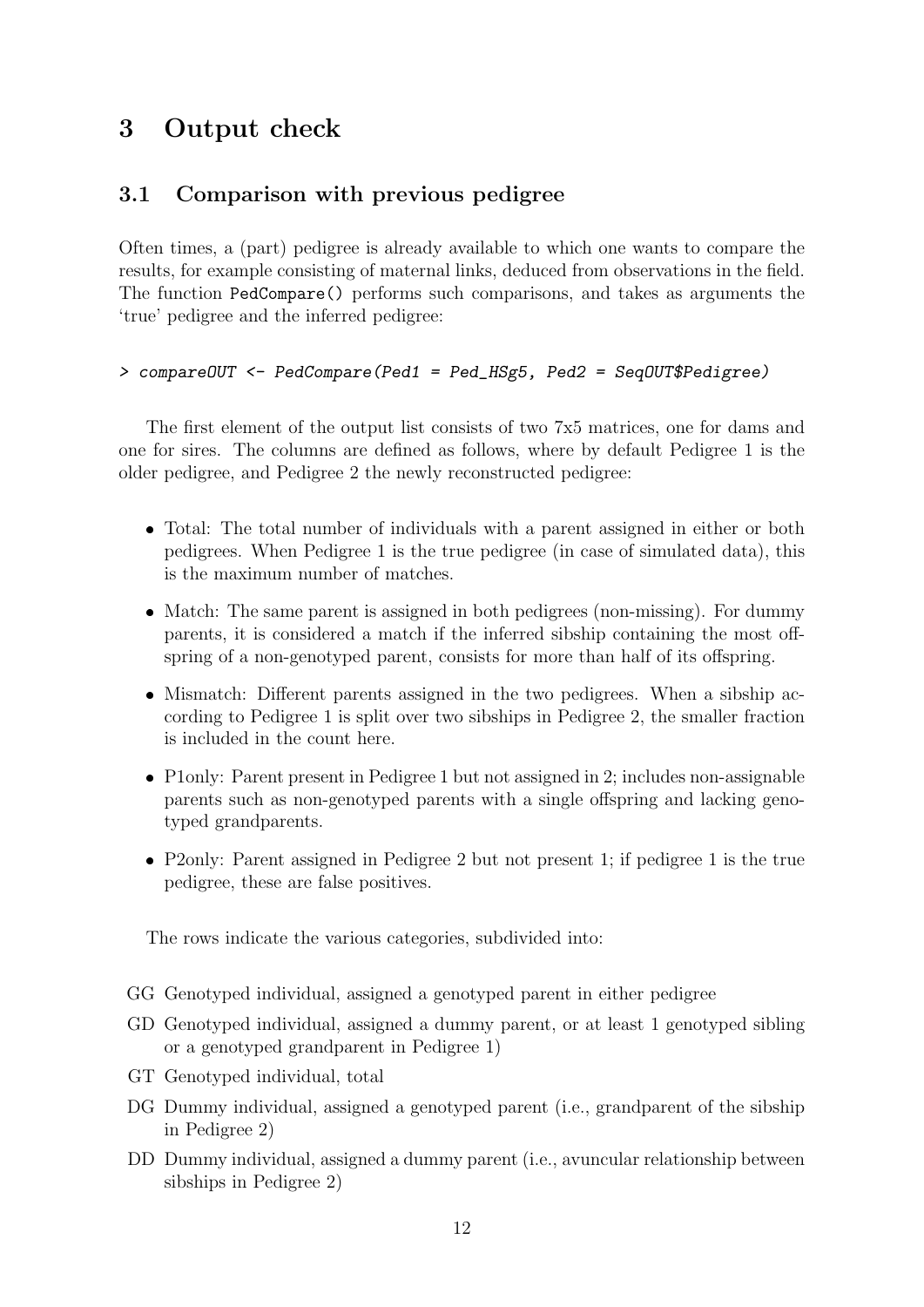# <span id="page-11-0"></span>3 Output check

## <span id="page-11-1"></span>3.1 Comparison with previous pedigree

Often times, a (part) pedigree is already available to which one wants to compare the results, for example consisting of maternal links, deduced from observations in the field. The function PedCompare() performs such comparisons, and takes as arguments the 'true' pedigree and the inferred pedigree:

### > compareOUT <- PedCompare(Ped1 = Ped\_HSg5, Ped2 = SeqOUT\$Pedigree)

The first element of the output list consists of two 7x5 matrices, one for dams and one for sires. The columns are defined as follows, where by default Pedigree 1 is the older pedigree, and Pedigree 2 the newly reconstructed pedigree:

- Total: The total number of individuals with a parent assigned in either or both pedigrees. When Pedigree 1 is the true pedigree (in case of simulated data), this is the maximum number of matches.
- Match: The same parent is assigned in both pedigrees (non-missing). For dummy parents, it is considered a match if the inferred sibship containing the most offspring of a non-genotyped parent, consists for more than half of its offspring.
- Mismatch: Different parents assigned in the two pedigrees. When a sibship according to Pedigree 1 is split over two sibships in Pedigree 2, the smaller fraction is included in the count here.
- P1only: Parent present in Pedigree 1 but not assigned in 2; includes non-assignable parents such as non-genotyped parents with a single offspring and lacking genotyped grandparents.
- P2only: Parent assigned in Pedigree 2 but not present 1; if pedigree 1 is the true pedigree, these are false positives.

The rows indicate the various categories, subdivided into:

- GG Genotyped individual, assigned a genotyped parent in either pedigree
- GD Genotyped individual, assigned a dummy parent, or at least 1 genotyped sibling or a genotyped grandparent in Pedigree 1)
- GT Genotyped individual, total
- DG Dummy individual, assigned a genotyped parent (i.e., grandparent of the sibship in Pedigree 2)
- DD Dummy individual, assigned a dummy parent (i.e., avuncular relationship between sibships in Pedigree 2)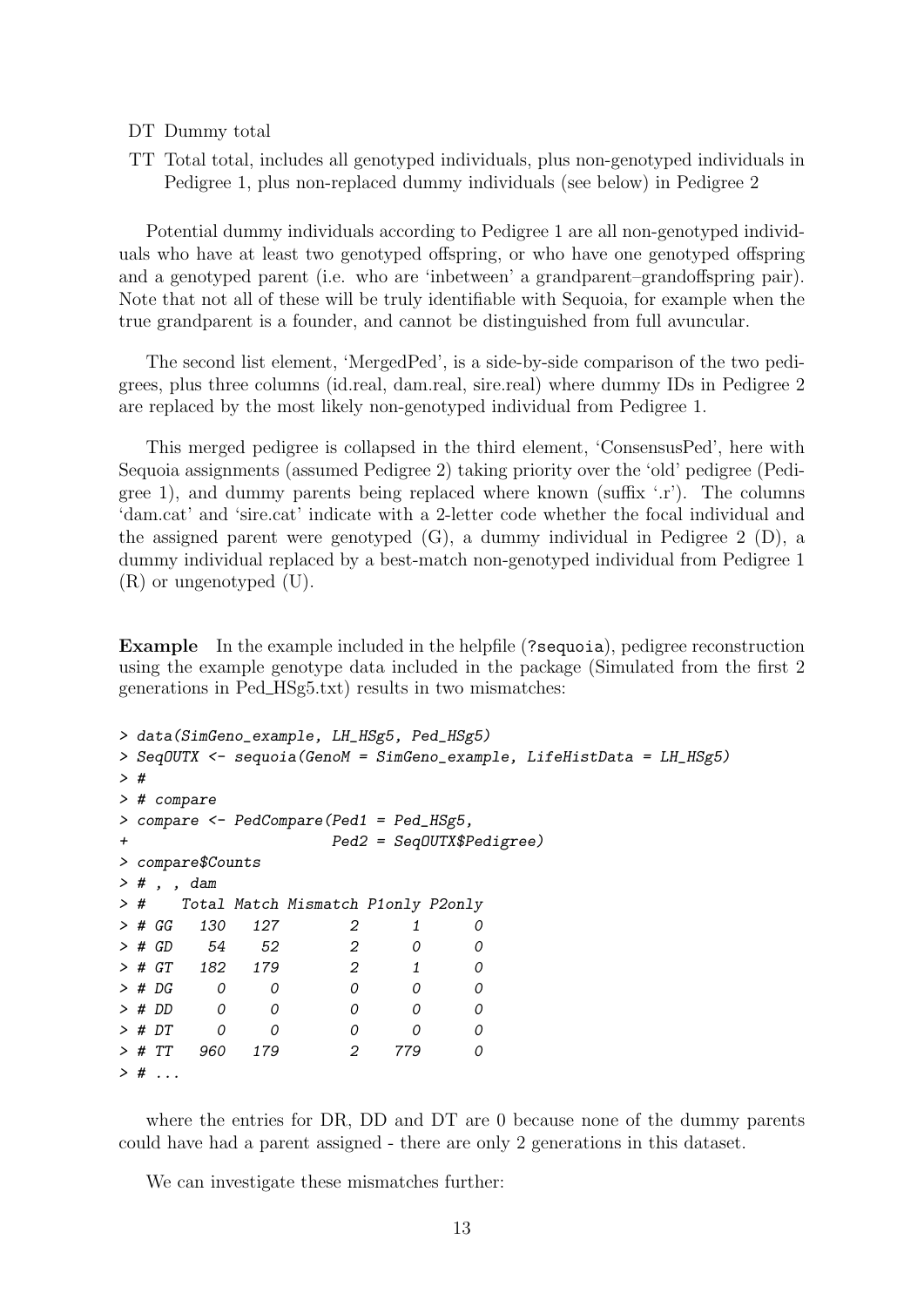#### DT Dummy total

TT Total total, includes all genotyped individuals, plus non-genotyped individuals in Pedigree 1, plus non-replaced dummy individuals (see below) in Pedigree 2

Potential dummy individuals according to Pedigree 1 are all non-genotyped individuals who have at least two genotyped offspring, or who have one genotyped offspring and a genotyped parent (i.e. who are 'inbetween' a grandparent–grandoffspring pair). Note that not all of these will be truly identifiable with Sequoia, for example when the true grandparent is a founder, and cannot be distinguished from full avuncular.

The second list element, 'MergedPed', is a side-by-side comparison of the two pedigrees, plus three columns (id.real, dam.real, sire.real) where dummy IDs in Pedigree 2 are replaced by the most likely non-genotyped individual from Pedigree 1.

This merged pedigree is collapsed in the third element, 'ConsensusPed', here with Sequoia assignments (assumed Pedigree 2) taking priority over the 'old' pedigree (Pedigree 1), and dummy parents being replaced where known (suffix  $\cdot$ .r'). The columns 'dam.cat' and 'sire.cat' indicate with a 2-letter code whether the focal individual and the assigned parent were genotyped (G), a dummy individual in Pedigree 2 (D), a dummy individual replaced by a best-match non-genotyped individual from Pedigree 1 (R) or ungenotyped (U).

Example In the example included in the helpfile (?sequoia), pedigree reconstruction using the example genotype data included in the package (Simulated from the first 2 generations in Ped HSg5.txt) results in two mismatches:

```
> data(SimGeno_example, LH_HSg5, Ped_HSg5)
> SeqOUTX <- sequoia(GenoM = SimGeno_example, LifeHistData = LH_HSg5)
> #
> # compare
> compare <- PedCompare(Ped1 = Ped_HSg5,
+ Ped2 = SeqOUTX$Pedigree)
> compare$Counts
> # , , dam
> # Total Match Mismatch P1only P2only
> # GG 130 127 2 1 0
> # GD 54 52 2 0 0
> # GT 182 179 2 1 0
> # DG 0 0 0 0 0
> # DD 0 0 0 0 0 0
> # DT 0 0 0 0 0 0
> # TT 960 179 2 779 0
> # . . .
```
where the entries for DR, DD and DT are 0 because none of the dummy parents could have had a parent assigned - there are only 2 generations in this dataset.

We can investigate these mismatches further: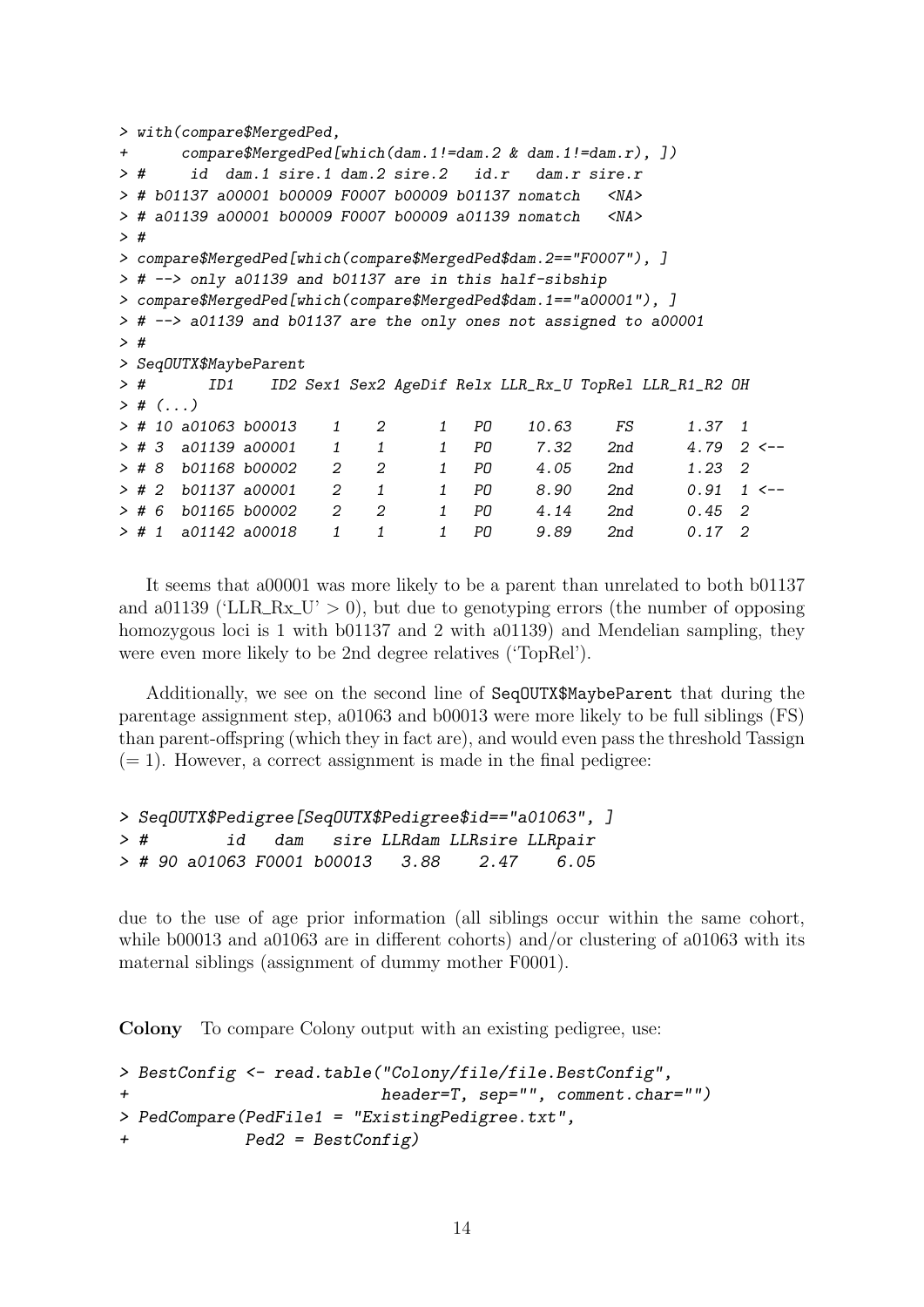```
> with(compare$MergedPed,
+ compare$MergedPed[which(dam.1!=dam.2 & dam.1!=dam.r), ])
> # id dam.1 sire.1 dam.2 sire.2 id.r dam.r sire.r
> # b01137 a00001 b00009 F0007 b00009 b01137 nomatch <NA>
> # a01139 a00001 b00009 F0007 b00009 a01139 nomatch <NA>
\rightarrow #
> compare$MergedPed[which(compare$MergedPed$dam.2=="F0007"), ]
> # --> only a01139 and b01137 are in this half-sibship
> compare$MergedPed[which(compare$MergedPed$dam.1=="a00001"), ]
> # --> a01139 and b01137 are the only ones not assigned to a00001
> #
> SeqOUTX$MaybeParent
> # ID1 ID2 Sex1 Sex2 AgeDif Relx LLR_Rx_U TopRel LLR_R1_R2 OH
> # (. . . )> # 10 a01063 b00013 1 2 1 PO 10.63 FS 1.37 1
> # 3 a01139 a00001 1 1 1 PO 7.32 2nd 4.79 2 <--
> # 8 b01168 b00002 2 2 1 PO 4.05 2nd 1.23 2
> # 2 b01137 a00001 2 1 1 PD 8.90 2nd 0.91 1 <--
> # 6 b01165 b00002 2 2 1 PO 4.14 2nd 0.45 2
> # 1 a01142 a00018 1 1 1 PO 9.89 2nd 0.17 2
```
It seems that a00001 was more likely to be a parent than unrelated to both b01137 and a01139 ('LLR\_Rx\_U'  $> 0$ ), but due to genotyping errors (the number of opposing homozygous loci is 1 with b01137 and 2 with a01139) and Mendelian sampling, they were even more likely to be 2nd degree relatives ('TopRel').

Additionally, we see on the second line of SeqOUTX\$MaybeParent that during the parentage assignment step, a01063 and b00013 were more likely to be full siblings (FS) than parent-offspring (which they in fact are), and would even pass the threshold Tassign  $(= 1)$ . However, a correct assignment is made in the final pedigree:

```
> SeqOUTX$Pedigree[SeqOUTX$Pedigree$id=="a01063", ]
> # id dam sire LLRdam LLRsire LLRpair
> # 90 a01063 F0001 b00013 3.88 2.47 6.05
```
due to the use of age prior information (all siblings occur within the same cohort, while b00013 and a01063 are in different cohorts) and/or clustering of a01063 with its maternal siblings (assignment of dummy mother F0001).

Colony To compare Colony output with an existing pedigree, use:

```
> BestConfig <- read.table("Colony/file/file.BestConfig",
+ header=T, sep="", comment.char="")
> PedCompare(PedFile1 = "ExistingPedigree.txt",
+ Ped2 = BestConfig)
```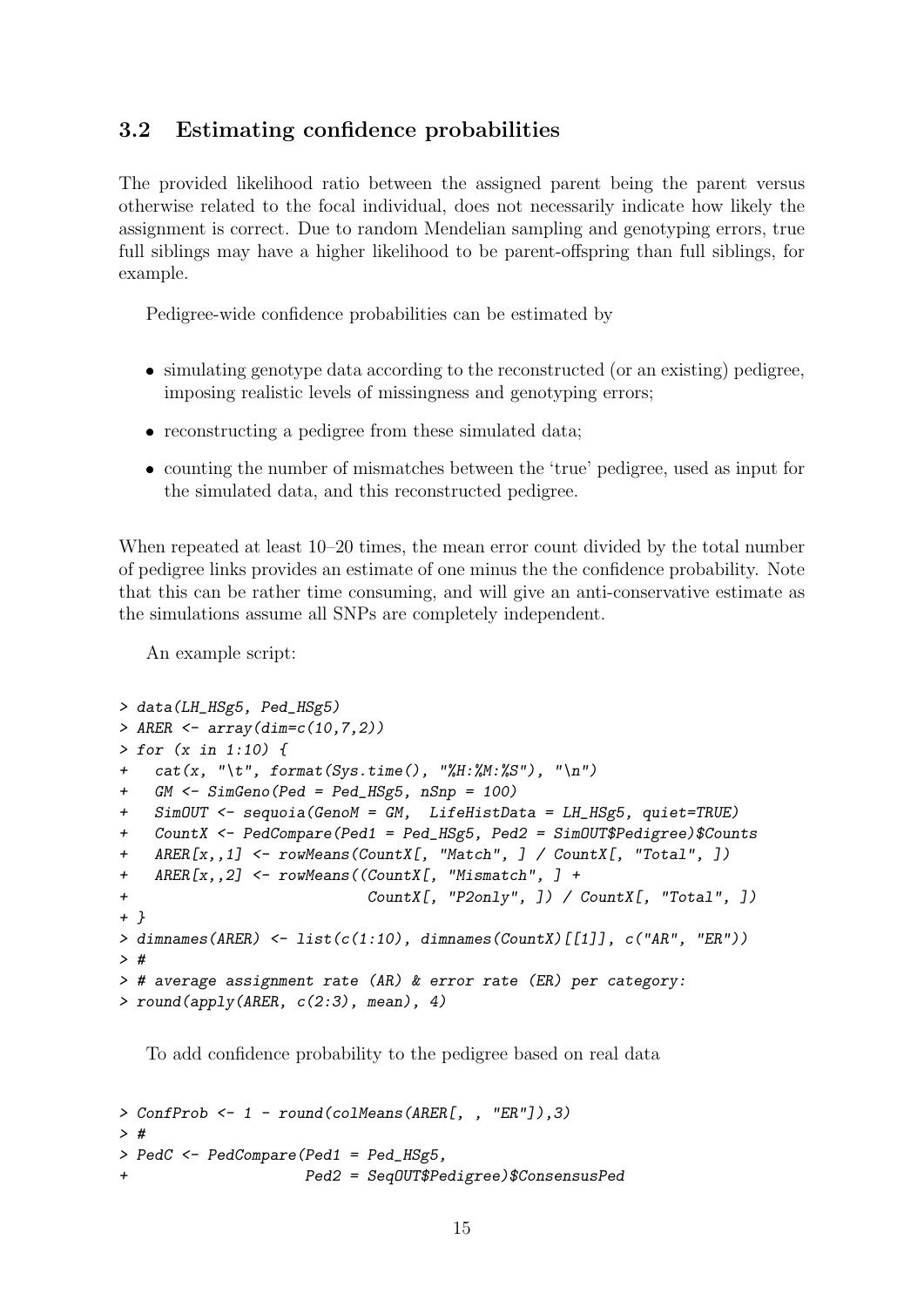## <span id="page-14-0"></span>3.2 Estimating confidence probabilities

The provided likelihood ratio between the assigned parent being the parent versus otherwise related to the focal individual, does not necessarily indicate how likely the assignment is correct. Due to random Mendelian sampling and genotyping errors, true full siblings may have a higher likelihood to be parent-offspring than full siblings, for example.

Pedigree-wide confidence probabilities can be estimated by

- simulating genotype data according to the reconstructed (or an existing) pedigree, imposing realistic levels of missingness and genotyping errors;
- reconstructing a pedigree from these simulated data;
- counting the number of mismatches between the 'true' pedigree, used as input for the simulated data, and this reconstructed pedigree.

When repeated at least  $10-20$  times, the mean error count divided by the total number of pedigree links provides an estimate of one minus the the confidence probability. Note that this can be rather time consuming, and will give an anti-conservative estimate as the simulations assume all SNPs are completely independent.

An example script:

```
> data(LH_HSg5, Ped_HSg5)
> ARER \leq array(dim=c(10, 7, 2))
> for (x in 1:10) {
+ cat(x, "\t", format(Sys.time(), "%H:%M:%S"), "\n")
+ GM <- SimGeno(Ped = Ped_HSg5, nSnp = 100)
+ SimOUT <- sequoia(GenoM = GM, LifeHistData = LH_HSg5, quiet=TRUE)
+ CountX <- PedCompare(Ped1 = Ped_HSg5, Ped2 = SimOUT$Pedigree)$Counts
+ ARER[x,,1] <- rowMeans(CountX[, "Match", ] / CountX[, "Total", ])
+ ARER[x,,2] <- rowMeans((CountX[, "Mismatch", ] +
                            CountX[, "P2only", ]\big) / CountX[, "Total", ]\big)+ }
> dimnames(ARER) <- list(c(1:10), dimnames(CountX)[[1]], c("AR", "ER"))
> #
> # average assignment rate (AR) & error rate (ER) per category:
> round(apoly(ARER, c(2:3), mean), 4)
```
To add confidence probability to the pedigree based on real data

```
> ConfProb <- 1 - round(colMeans(ARER[, , "ER"]),3)
> #
> PedC <- PedCompare(Ped1 = Ped_HSg5,
+ Ped2 = SeqOUT$Pedigree)$ConsensusPed
```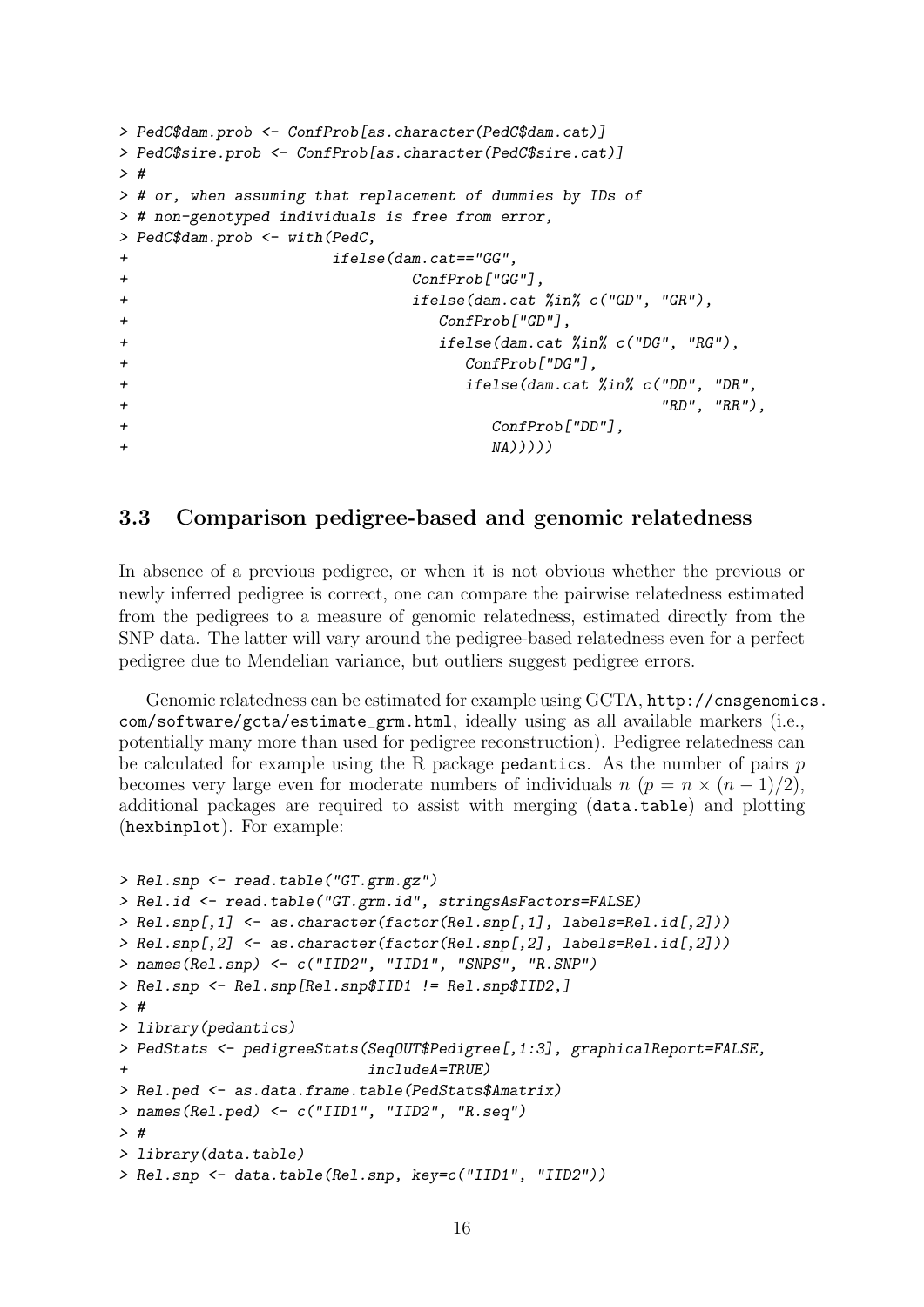```
> PedC$dam.prob <- ConfProb[as.character(PedC$dam.cat)]
> PedC$sire.prob <- ConfProb[as.character(PedC$sire.cat)]
> #
> # or, when assuming that replacement of dummies by IDs of
> # non-genotyped individuals is free from error,
> PedC$dam.prob <- with(PedC,
+ ifelse(dam.cat=="GG",
+ ConfProb["GG"],
+ ifelse(dam.cat %in% c("GD", "GR"),
+ ConfProb["GD"],
+ ifelse(dam.cat %in% c("DG", "RG"),
+ ConfProb["DG"],
+ ifelse(dam.cat %in% c("DD", "DR",
+ "RD", "RR"),
+ ConfProb["DD"],
+ \text{NA})))))
```
## <span id="page-15-0"></span>3.3 Comparison pedigree-based and genomic relatedness

In absence of a previous pedigree, or when it is not obvious whether the previous or newly inferred pedigree is correct, one can compare the pairwise relatedness estimated from the pedigrees to a measure of genomic relatedness, estimated directly from the SNP data. The latter will vary around the pedigree-based relatedness even for a perfect pedigree due to Mendelian variance, but outliers suggest pedigree errors.

Genomic relatedness can be estimated for example using GCTA, [http://cnsgenomic](http://cnsgenomics.com/software/gcta/estimate_grm.html)s. [com/software/gcta/estimate\\_grm.html](http://cnsgenomics.com/software/gcta/estimate_grm.html), ideally using as all available markers (i.e., potentially many more than used for pedigree reconstruction). Pedigree relatedness can be calculated for example using the R package pedantics. As the number of pairs  $p$ becomes very large even for moderate numbers of individuals  $n (p = n \times (n - 1)/2)$ , additional packages are required to assist with merging (data.table) and plotting (hexbinplot). For example:

```
> Rel.snp <- read.table("GT.grm.gz")
> Rel.id <- read.table("GT.grm.id", stringsAsFactors=FALSE)
> Rel.snp[,1] <- as.character(factor(Rel.snp[,1], labels=Rel.id[,2]))
> Rel.snp[,2] <- as.character(factor(Rel.snp[,2], labels=Rel.id[,2]))
> names(Rel.snp) <- c("IID2", "IID1", "SNPS", "R.SNP")
> Rel.snp <- Rel.snp[Rel.snp$IID1 != Rel.snp$IID2,]
> #
> library(pedantics)
> PedStats <- pedigreeStats(SeqOUT$Pedigree[,1:3], graphicalReport=FALSE,
                            includeA=TRUE)
> Rel.ped <- as.data.frame.table(PedStats$Amatrix)
> names(Rel.ped) <- c("IID1", "IID2", "R.seq")
> #
> library(data.table)
> Rel.snp <- data.table(Rel.snp, key=c("IID1", "IID2"))
```